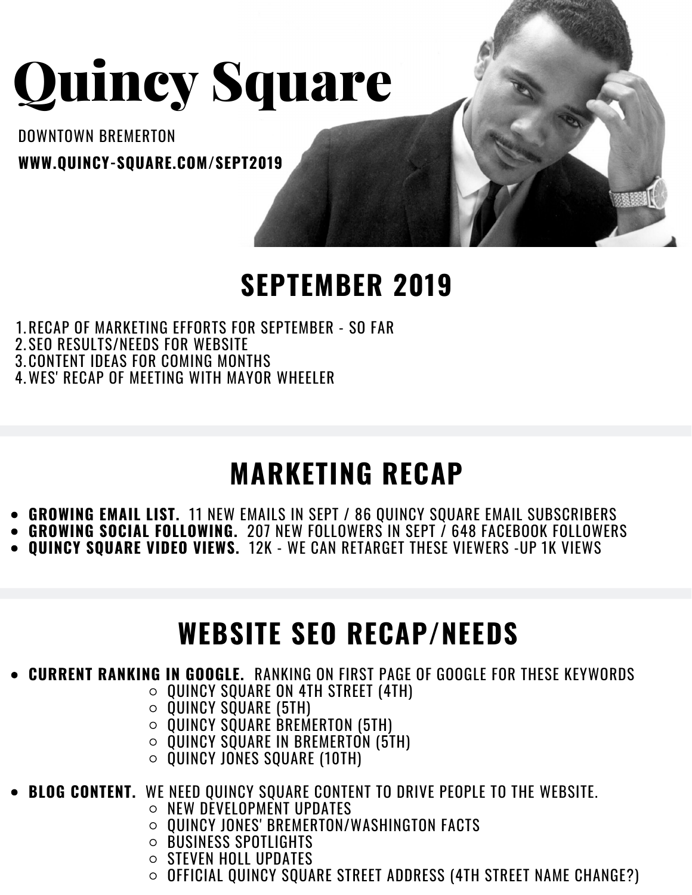# Quincy Square

DOWNTOWN BREMERTON **WWW.QUINCY-SQUARE.COM/SEPT2019**

#### **SEPTEMBER 2019**

- 1.RECAP OF MARKETING EFFORTS FOR SEPTEMBER SO FAR
- 2.SEO RESULTS/NEEDS FOR WEBSITE
- 3.CONTENT IDEAS FOR COMING MONTHS
- WES' RECAP OF MEETING WITH MAYOR WHEELER 4.

# **MARKETING RECAP**

- **GROWING EMAIL LIST.** 11 NEW EMAILS IN SEPT / 86 QUINCY SQUARE EMAIL SUBSCRIBERS
- **GROWING SOCIAL FOLLOWING.** 207 NEW FOLLOWERS IN SEPT / 648 FACEBOOK FOLLOWERS
- **QUINCY SQUARE VIDEO VIEWS.** 12K WE CAN RETARGET THESE VIEWERS -UP 1K VIEWS

### **WEBSITE SEO RECAP/NEEDS**

- **CURRENT RANKING IN GOOGLE.** RANKING ON FIRST PAGE OF GOOGLE FOR THESE KEYWORDS
	- $\circ$  QUINCY SQUARE ON 4TH STREET (4TH)
	- $\circ$  QUINCY SQUARE (5TH)
	- $\circ$  QUINCY SQUARE BREMERTON (5TH)
	- $\circ$  QUINCY SQUARE IN BREMERTON (5TH)
	- $\circ$  OUINCY JONES SOUARE (10TH)
- **BLOG CONTENT.** WE NEED QUINCY SQUARE CONTENT TO DRIVE PEOPLE TO THE WEBSITE.
	- $\circ$  NEW DEVELOPMENT UPDATES
	- QUINCY JONES' BREMERTON/WASHINGTON FACTS
	- BUSINESS SPOTLIGHTS  $\circ$
	- STEVEN HOLL UPDATES  $\circ$
	- $\circ$  Official Quincy square street address (4TH street name change?)